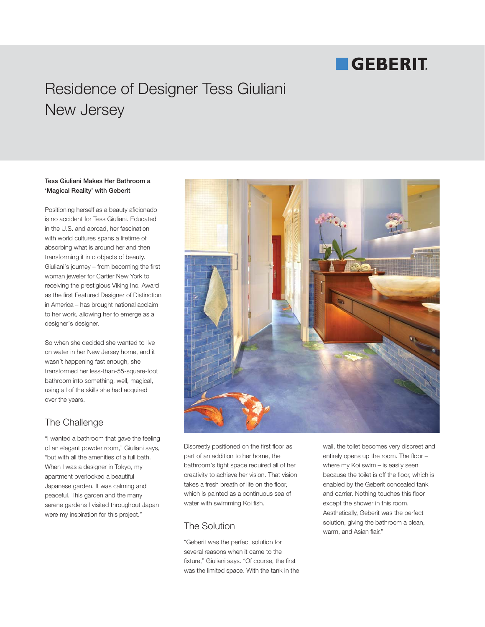# **GEBERIT**

## Residence of Designer Tess Giuliani New Jersey

#### **Tess Giuliani Makes Her Bathroom a 'Magical Reality' with Geberit**

Positioning herself as a beauty aficionado is no accident for Tess Giuliani. Educated in the U.S. and abroad, her fascination with world cultures spans a lifetime of absorbing what is around her and then transforming it into objects of beauty. Giuliani's journey – from becoming the first woman jeweler for Cartier New York to receiving the prestigious Viking Inc. Award as the first Featured Designer of Distinction in America – has brought national acclaim to her work, allowing her to emerge as a designer's designer.

So when she decided she wanted to live on water in her New Jersey home, and it wasn't happening fast enough, she transformed her less-than-55-square-foot bathroom into something, well, magical, using all of the skills she had acquired over the years.

## The Challenge

"I wanted a bathroom that gave the feeling of an elegant powder room," Giuliani says, "but with all the amenities of a full bath. When I was a designer in Tokyo, my apartment overlooked a beautiful Japanese garden. It was calming and peaceful. This garden and the many serene gardens I visited throughout Japan were my inspiration for this project."



Discreetly positioned on the first floor as part of an addition to her home, the bathroom's tight space required all of her creativity to achieve her vision. That vision takes a fresh breath of life on the floor, which is painted as a continuous sea of water with swimming Koi fish.

## The Solution

"Geberit was the perfect solution for several reasons when it came to the fixture," Giuliani says. "Of course, the first was the limited space. With the tank in the

wall, the toilet becomes very discreet and entirely opens up the room. The floor – where my Koi swim – is easily seen because the toilet is off the floor, which is enabled by the Geberit concealed tank and carrier. Nothing touches this floor except the shower in this room. Aesthetically, Geberit was the perfect solution, giving the bathroom a clean, warm, and Asian flair."